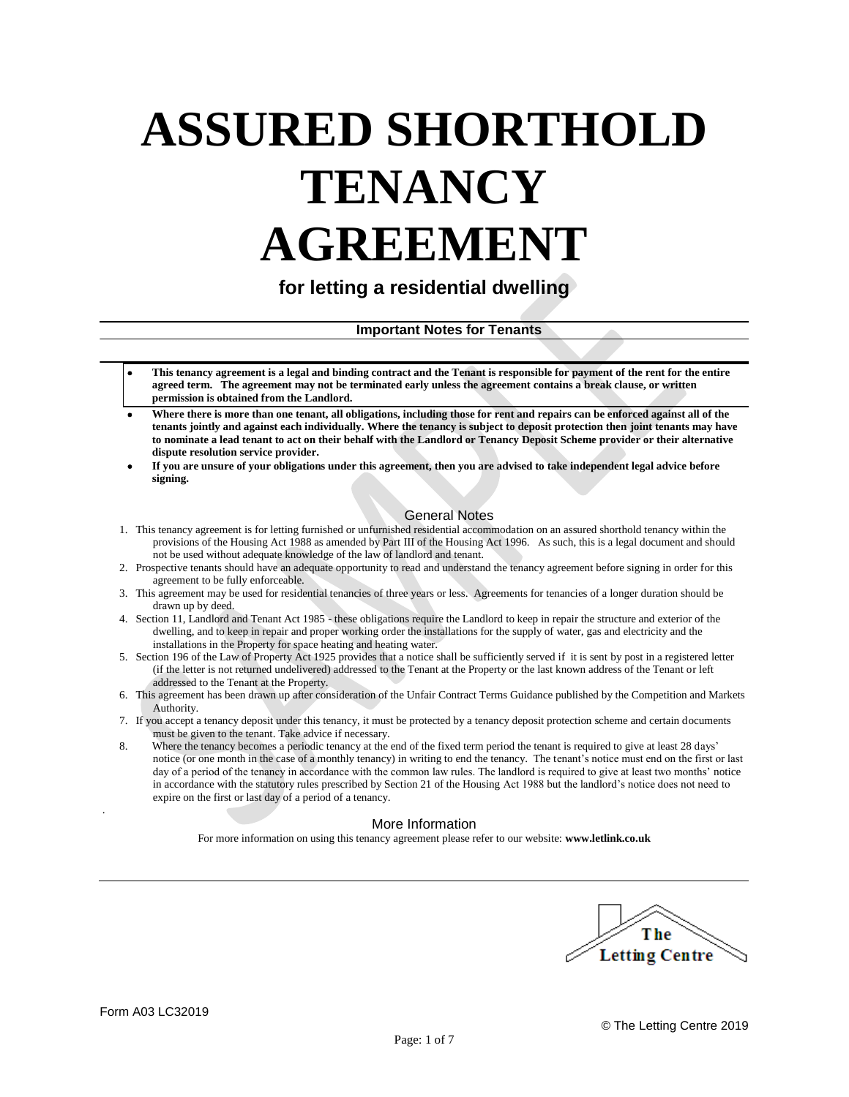# **ASSURED SHORTHOLD TENANCY AGREEMENT**

**for letting a residential dwelling**

**Important Notes for Tenants**

- **This tenancy agreement is a legal and binding contract and the Tenant is responsible for payment of the rent for the entire agreed term. The agreement may not be terminated early unless the agreement contains a break clause, or written permission is obtained from the Landlord.**
- **Where there is more than one tenant, all obligations, including those for rent and repairs can be enforced against all of the tenants jointly and against each individually. Where the tenancy is subject to deposit protection then joint tenants may have to nominate a lead tenant to act on their behalf with the Landlord or Tenancy Deposit Scheme provider or their alternative dispute resolution service provider.**
- **If you are unsure of your obligations under this agreement, then you are advised to take independent legal advice before signing.**

# General Notes

- 1. This tenancy agreement is for letting furnished or unfurnished residential accommodation on an assured shorthold tenancy within the provisions of the Housing Act 1988 as amended by Part III of the Housing Act 1996. As such, this is a legal document and should not be used without adequate knowledge of the law of landlord and tenant.
- 2. Prospective tenants should have an adequate opportunity to read and understand the tenancy agreement before signing in order for this agreement to be fully enforceable.
- 3. This agreement may be used for residential tenancies of three years or less. Agreements for tenancies of a longer duration should be drawn up by deed.
- 4. Section 11, Landlord and Tenant Act 1985 these obligations require the Landlord to keep in repair the structure and exterior of the dwelling, and to keep in repair and proper working order the installations for the supply of water, gas and electricity and the installations in the Property for space heating and heating water.
- 5. Section 196 of the Law of Property Act 1925 provides that a notice shall be sufficiently served if it is sent by post in a registered letter (if the letter is not returned undelivered) addressed to the Tenant at the Property or the last known address of the Tenant or left addressed to the Tenant at the Property.
- 6. This agreement has been drawn up after consideration of the Unfair Contract Terms Guidance published by the Competition and Markets Authority.
- 7. If you accept a tenancy deposit under this tenancy, it must be protected by a tenancy deposit protection scheme and certain documents must be given to the tenant. Take advice if necessary.
- 8. Where the tenancy becomes a periodic tenancy at the end of the fixed term period the tenant is required to give at least 28 days' notice (or one month in the case of a monthly tenancy) in writing to end the tenancy. The tenant's notice must end on the first or last day of a period of the tenancy in accordance with the common law rules. The landlord is required to give at least two months' notice in accordance with the statutory rules prescribed by Section 21 of the Housing Act 1988 but the landlord's notice does not need to expire on the first or last day of a period of a tenancy.

# More Information

For more information on using this tenancy agreement please refer to our website: **www.letlink.co.uk**



.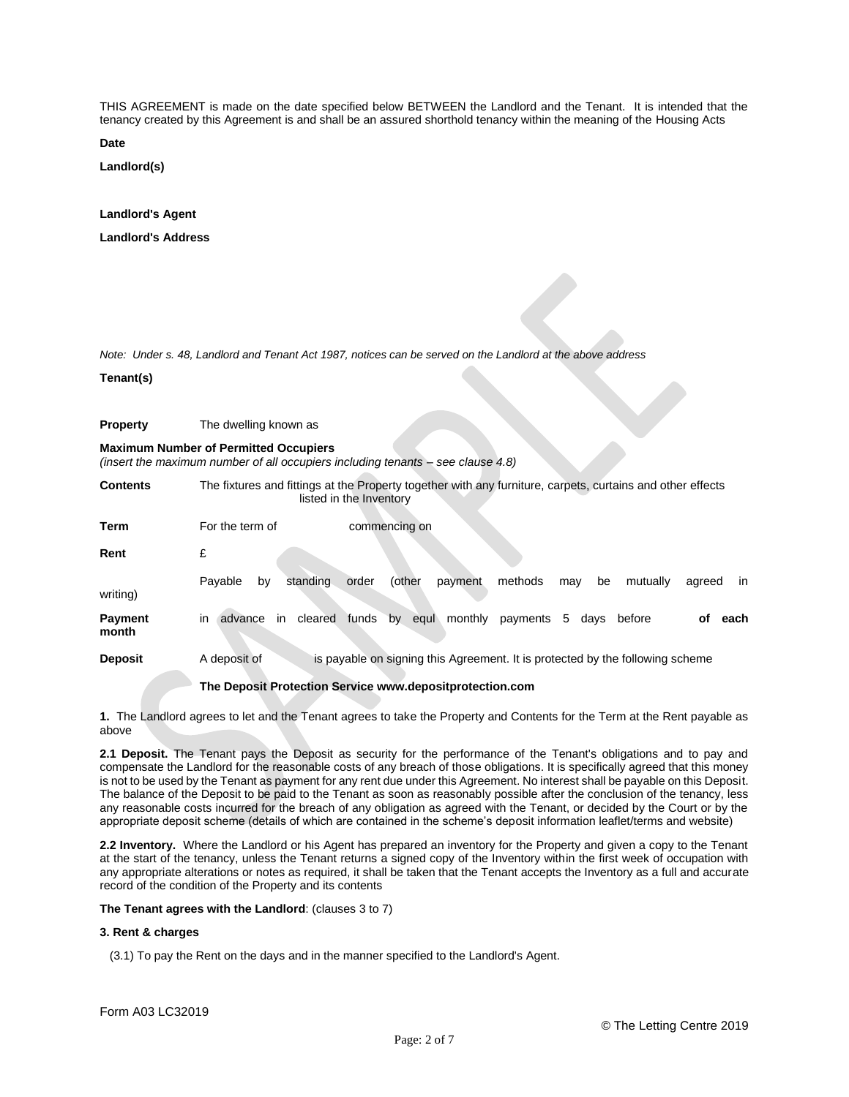THIS AGREEMENT is made on the date specified below BETWEEN the Landlord and the Tenant. It is intended that the tenancy created by this Agreement is and shall be an assured shorthold tenancy within the meaning of the Housing Acts

**Date**

**Landlord(s)**

# **Landlord's Agent**

**Landlord's Address**

*Note: Under s. 48, Landlord and Tenant Act 1987, notices can be served on the Landlord at the above address*

#### **Tenant(s)**

**Property** The dwelling known as

# **Maximum Number of Permitted Occupiers**

*(insert the maximum number of all occupiers including tenants – see clause 4.8)*

**Contents** The fixtures and fittings at the Property together with any furniture, carpets, curtains and other effects listed in the Inventory

| Term                    | For the term of                                          | commencing on                                                                             |  |
|-------------------------|----------------------------------------------------------|-------------------------------------------------------------------------------------------|--|
| Rent                    | £                                                        |                                                                                           |  |
| writing)                | standing<br>Payable<br>by                                | (other<br>methods<br>order<br>payment<br>mutually<br><sub>in</sub><br>be<br>agreed<br>may |  |
| <b>Payment</b><br>month | in<br>cleared<br>advance<br><i>in</i>                    | monthly<br>funds<br>by<br>5.<br>before<br>payments<br>οf<br>each<br>equi<br>days          |  |
| <b>Deposit</b>          | A deposit of                                             | is payable on signing this Agreement. It is protected by the following scheme             |  |
|                         | The Deposit Protection Service www.depositprotection.com |                                                                                           |  |

**1.** The Landlord agrees to let and the Tenant agrees to take the Property and Contents for the Term at the Rent payable as above

**2.1 Deposit.** The Tenant pays the Deposit as security for the performance of the Tenant's obligations and to pay and compensate the Landlord for the reasonable costs of any breach of those obligations. It is specifically agreed that this money is not to be used by the Tenant as payment for any rent due under this Agreement. No interest shall be payable on this Deposit. The balance of the Deposit to be paid to the Tenant as soon as reasonably possible after the conclusion of the tenancy, less any reasonable costs incurred for the breach of any obligation as agreed with the Tenant, or decided by the Court or by the appropriate deposit scheme (details of which are contained in the scheme's deposit information leaflet/terms and website)

**2.2 Inventory.** Where the Landlord or his Agent has prepared an inventory for the Property and given a copy to the Tenant at the start of the tenancy, unless the Tenant returns a signed copy of the Inventory within the first week of occupation with any appropriate alterations or notes as required, it shall be taken that the Tenant accepts the Inventory as a full and accurate record of the condition of the Property and its contents

# **The Tenant agrees with the Landlord**: (clauses 3 to 7)

# **3. Rent & charges**

(3.1) To pay the Rent on the days and in the manner specified to the Landlord's Agent.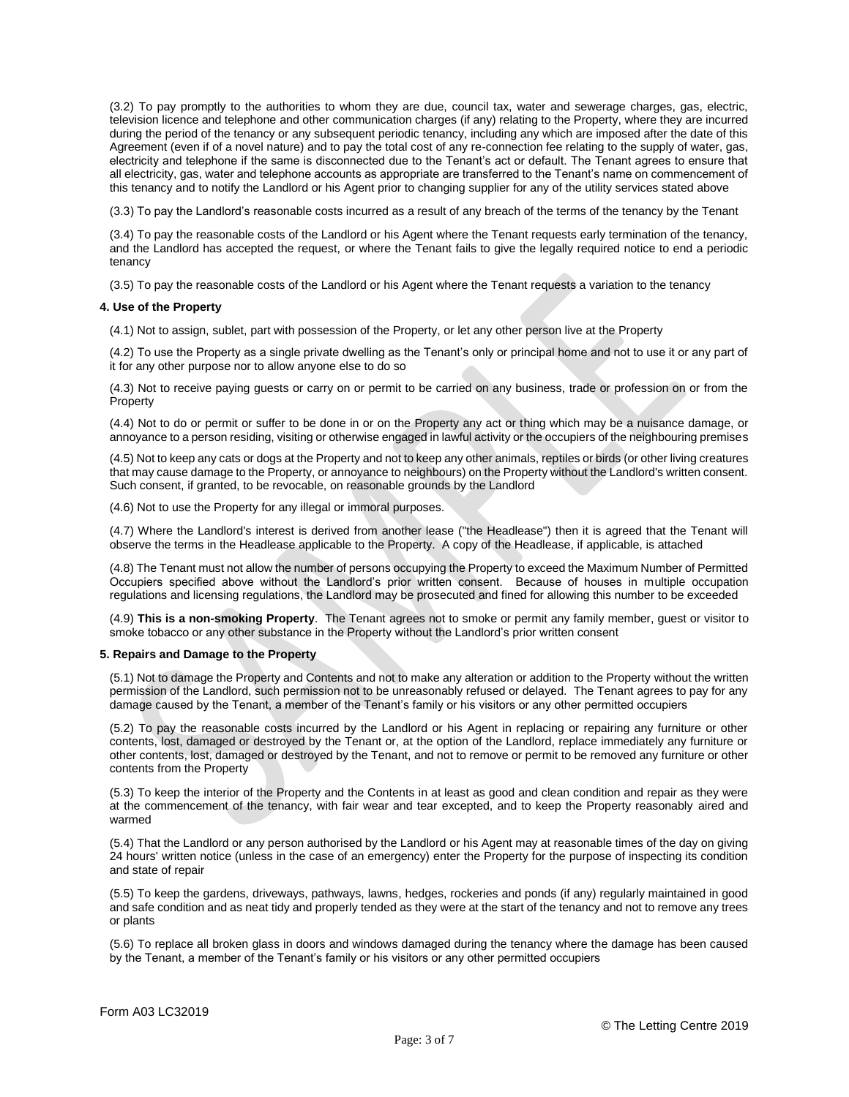(3.2) To pay promptly to the authorities to whom they are due, council tax, water and sewerage charges, gas, electric, television licence and telephone and other communication charges (if any) relating to the Property, where they are incurred during the period of the tenancy or any subsequent periodic tenancy, including any which are imposed after the date of this Agreement (even if of a novel nature) and to pay the total cost of any re-connection fee relating to the supply of water, gas, electricity and telephone if the same is disconnected due to the Tenant's act or default. The Tenant agrees to ensure that all electricity, gas, water and telephone accounts as appropriate are transferred to the Tenant's name on commencement of this tenancy and to notify the Landlord or his Agent prior to changing supplier for any of the utility services stated above

(3.3) To pay the Landlord's reasonable costs incurred as a result of any breach of the terms of the tenancy by the Tenant

(3.4) To pay the reasonable costs of the Landlord or his Agent where the Tenant requests early termination of the tenancy, and the Landlord has accepted the request, or where the Tenant fails to give the legally required notice to end a periodic tenancy

(3.5) To pay the reasonable costs of the Landlord or his Agent where the Tenant requests a variation to the tenancy

## **4. Use of the Property**

(4.1) Not to assign, sublet, part with possession of the Property, or let any other person live at the Property

(4.2) To use the Property as a single private dwelling as the Tenant's only or principal home and not to use it or any part of it for any other purpose nor to allow anyone else to do so

(4.3) Not to receive paying guests or carry on or permit to be carried on any business, trade or profession on or from the Property

(4.4) Not to do or permit or suffer to be done in or on the Property any act or thing which may be a nuisance damage, or annoyance to a person residing, visiting or otherwise engaged in lawful activity or the occupiers of the neighbouring premises

(4.5) Not to keep any cats or dogs at the Property and not to keep any other animals, reptiles or birds (or other living creatures that may cause damage to the Property, or annoyance to neighbours) on the Property without the Landlord's written consent. Such consent, if granted, to be revocable, on reasonable grounds by the Landlord

(4.6) Not to use the Property for any illegal or immoral purposes.

(4.7) Where the Landlord's interest is derived from another lease ("the Headlease") then it is agreed that the Tenant will observe the terms in the Headlease applicable to the Property. A copy of the Headlease, if applicable, is attached

(4.8) The Tenant must not allow the number of persons occupying the Property to exceed the Maximum Number of Permitted Occupiers specified above without the Landlord's prior written consent. Because of houses in multiple occupation regulations and licensing regulations, the Landlord may be prosecuted and fined for allowing this number to be exceeded

(4.9) **This is a non-smoking Property**. The Tenant agrees not to smoke or permit any family member, guest or visitor to smoke tobacco or any other substance in the Property without the Landlord's prior written consent

# **5. Repairs and Damage to the Property**

(5.1) Not to damage the Property and Contents and not to make any alteration or addition to the Property without the written permission of the Landlord, such permission not to be unreasonably refused or delayed. The Tenant agrees to pay for any damage caused by the Tenant, a member of the Tenant's family or his visitors or any other permitted occupiers

(5.2) To pay the reasonable costs incurred by the Landlord or his Agent in replacing or repairing any furniture or other contents, lost, damaged or destroyed by the Tenant or, at the option of the Landlord, replace immediately any furniture or other contents, lost, damaged or destroyed by the Tenant, and not to remove or permit to be removed any furniture or other contents from the Property

(5.3) To keep the interior of the Property and the Contents in at least as good and clean condition and repair as they were at the commencement of the tenancy, with fair wear and tear excepted, and to keep the Property reasonably aired and warmed

(5.4) That the Landlord or any person authorised by the Landlord or his Agent may at reasonable times of the day on giving 24 hours' written notice (unless in the case of an emergency) enter the Property for the purpose of inspecting its condition and state of repair

(5.5) To keep the gardens, driveways, pathways, lawns, hedges, rockeries and ponds (if any) regularly maintained in good and safe condition and as neat tidy and properly tended as they were at the start of the tenancy and not to remove any trees or plants

(5.6) To replace all broken glass in doors and windows damaged during the tenancy where the damage has been caused by the Tenant, a member of the Tenant's family or his visitors or any other permitted occupiers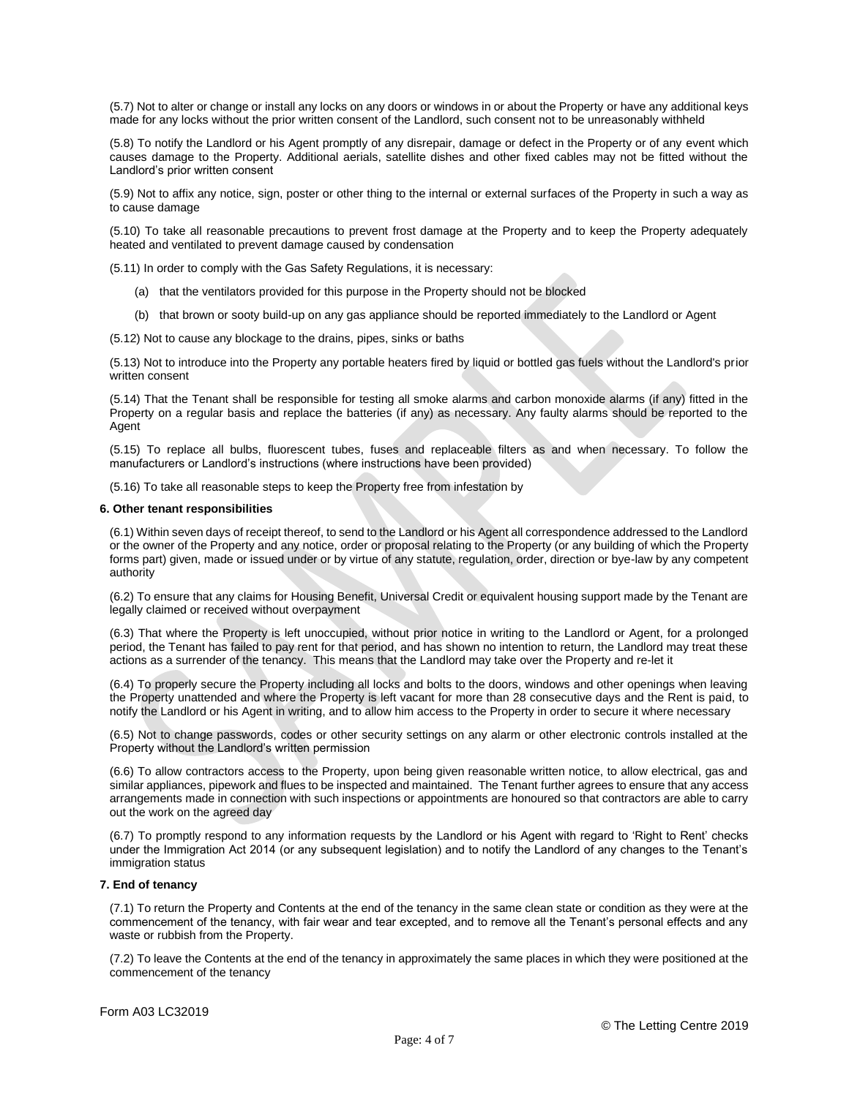(5.7) Not to alter or change or install any locks on any doors or windows in or about the Property or have any additional keys made for any locks without the prior written consent of the Landlord, such consent not to be unreasonably withheld

(5.8) To notify the Landlord or his Agent promptly of any disrepair, damage or defect in the Property or of any event which causes damage to the Property. Additional aerials, satellite dishes and other fixed cables may not be fitted without the Landlord's prior written consent

(5.9) Not to affix any notice, sign, poster or other thing to the internal or external surfaces of the Property in such a way as to cause damage

(5.10) To take all reasonable precautions to prevent frost damage at the Property and to keep the Property adequately heated and ventilated to prevent damage caused by condensation

(5.11) In order to comply with the Gas Safety Regulations, it is necessary:

- (a) that the ventilators provided for this purpose in the Property should not be blocked
- (b) that brown or sooty build-up on any gas appliance should be reported immediately to the Landlord or Agent

(5.12) Not to cause any blockage to the drains, pipes, sinks or baths

(5.13) Not to introduce into the Property any portable heaters fired by liquid or bottled gas fuels without the Landlord's prior written consent

(5.14) That the Tenant shall be responsible for testing all smoke alarms and carbon monoxide alarms (if any) fitted in the Property on a regular basis and replace the batteries (if any) as necessary. Any faulty alarms should be reported to the Agent

(5.15) To replace all bulbs, fluorescent tubes, fuses and replaceable filters as and when necessary. To follow the manufacturers or Landlord's instructions (where instructions have been provided)

(5.16) To take all reasonable steps to keep the Property free from infestation by

### **6. Other tenant responsibilities**

(6.1) Within seven days of receipt thereof, to send to the Landlord or his Agent all correspondence addressed to the Landlord or the owner of the Property and any notice, order or proposal relating to the Property (or any building of which the Property forms part) given, made or issued under or by virtue of any statute, regulation, order, direction or bye-law by any competent authority

(6.2) To ensure that any claims for Housing Benefit, Universal Credit or equivalent housing support made by the Tenant are legally claimed or received without overpayment

(6.3) That where the Property is left unoccupied, without prior notice in writing to the Landlord or Agent, for a prolonged period, the Tenant has failed to pay rent for that period, and has shown no intention to return, the Landlord may treat these actions as a surrender of the tenancy. This means that the Landlord may take over the Property and re-let it

(6.4) To properly secure the Property including all locks and bolts to the doors, windows and other openings when leaving the Property unattended and where the Property is left vacant for more than 28 consecutive days and the Rent is paid, to notify the Landlord or his Agent in writing, and to allow him access to the Property in order to secure it where necessary

(6.5) Not to change passwords, codes or other security settings on any alarm or other electronic controls installed at the Property without the Landlord's written permission

(6.6) To allow contractors access to the Property, upon being given reasonable written notice, to allow electrical, gas and similar appliances, pipework and flues to be inspected and maintained. The Tenant further agrees to ensure that any access arrangements made in connection with such inspections or appointments are honoured so that contractors are able to carry out the work on the agreed day

(6.7) To promptly respond to any information requests by the Landlord or his Agent with regard to 'Right to Rent' checks under the Immigration Act 2014 (or any subsequent legislation) and to notify the Landlord of any changes to the Tenant's immigration status

# **7. End of tenancy**

(7.1) To return the Property and Contents at the end of the tenancy in the same clean state or condition as they were at the commencement of the tenancy, with fair wear and tear excepted, and to remove all the Tenant's personal effects and any waste or rubbish from the Property.

(7.2) To leave the Contents at the end of the tenancy in approximately the same places in which they were positioned at the commencement of the tenancy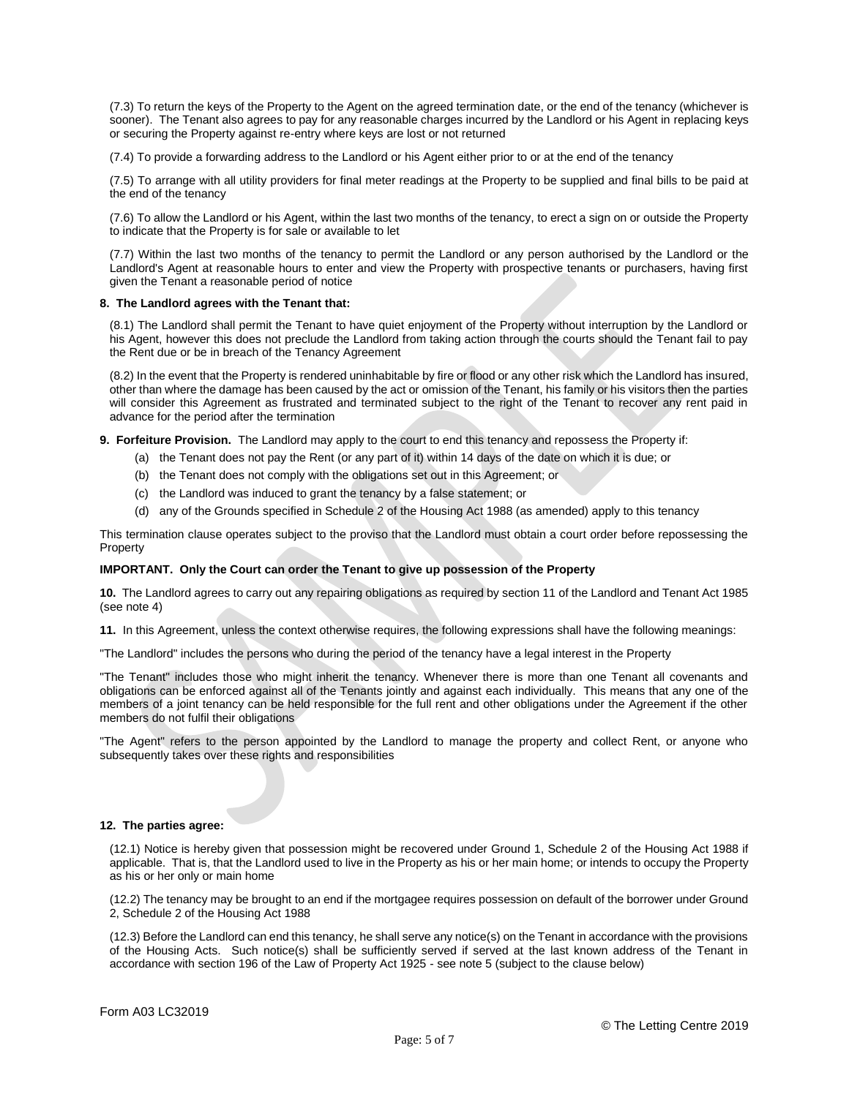(7.3) To return the keys of the Property to the Agent on the agreed termination date, or the end of the tenancy (whichever is sooner). The Tenant also agrees to pay for any reasonable charges incurred by the Landlord or his Agent in replacing keys or securing the Property against re-entry where keys are lost or not returned

(7.4) To provide a forwarding address to the Landlord or his Agent either prior to or at the end of the tenancy

(7.5) To arrange with all utility providers for final meter readings at the Property to be supplied and final bills to be paid at the end of the tenancy

(7.6) To allow the Landlord or his Agent, within the last two months of the tenancy, to erect a sign on or outside the Property to indicate that the Property is for sale or available to let

(7.7) Within the last two months of the tenancy to permit the Landlord or any person authorised by the Landlord or the Landlord's Agent at reasonable hours to enter and view the Property with prospective tenants or purchasers, having first given the Tenant a reasonable period of notice

#### **8. The Landlord agrees with the Tenant that:**

(8.1) The Landlord shall permit the Tenant to have quiet enjoyment of the Property without interruption by the Landlord or his Agent, however this does not preclude the Landlord from taking action through the courts should the Tenant fail to pay the Rent due or be in breach of the Tenancy Agreement

(8.2) In the event that the Property is rendered uninhabitable by fire or flood or any other risk which the Landlord has insured, other than where the damage has been caused by the act or omission of the Tenant, his family or his visitors then the parties will consider this Agreement as frustrated and terminated subject to the right of the Tenant to recover any rent paid in advance for the period after the termination

**9. Forfeiture Provision.** The Landlord may apply to the court to end this tenancy and repossess the Property if:

- (a) the Tenant does not pay the Rent (or any part of it) within 14 days of the date on which it is due; or
- (b) the Tenant does not comply with the obligations set out in this Agreement; or
- (c) the Landlord was induced to grant the tenancy by a false statement; or
- (d) any of the Grounds specified in Schedule 2 of the Housing Act 1988 (as amended) apply to this tenancy

This termination clause operates subject to the proviso that the Landlord must obtain a court order before repossessing the Property

# **IMPORTANT. Only the Court can order the Tenant to give up possession of the Property**

**10.** The Landlord agrees to carry out any repairing obligations as required by section 11 of the Landlord and Tenant Act 1985 (see note 4)

**11.** In this Agreement, unless the context otherwise requires, the following expressions shall have the following meanings:

"The Landlord" includes the persons who during the period of the tenancy have a legal interest in the Property

"The Tenant" includes those who might inherit the tenancy. Whenever there is more than one Tenant all covenants and obligations can be enforced against all of the Tenants jointly and against each individually. This means that any one of the members of a joint tenancy can be held responsible for the full rent and other obligations under the Agreement if the other members do not fulfil their obligations

"The Agent" refers to the person appointed by the Landlord to manage the property and collect Rent, or anyone who subsequently takes over these rights and responsibilities

# **12. The parties agree:**

(12.1) Notice is hereby given that possession might be recovered under Ground 1, Schedule 2 of the Housing Act 1988 if applicable. That is, that the Landlord used to live in the Property as his or her main home; or intends to occupy the Property as his or her only or main home

(12.2) The tenancy may be brought to an end if the mortgagee requires possession on default of the borrower under Ground 2, Schedule 2 of the Housing Act 1988

(12.3) Before the Landlord can end this tenancy, he shall serve any notice(s) on the Tenant in accordance with the provisions of the Housing Acts. Such notice(s) shall be sufficiently served if served at the last known address of the Tenant in accordance with section 196 of the Law of Property Act 1925 - see note 5 (subject to the clause below)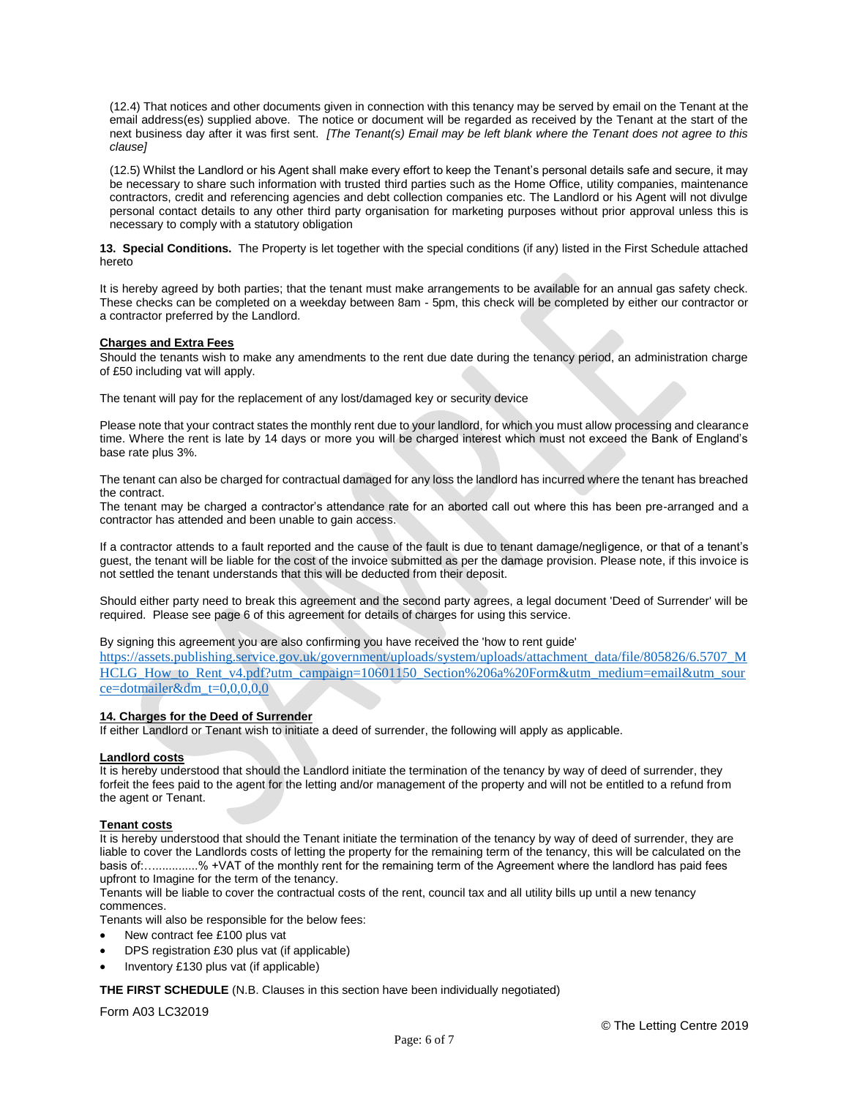(12.4) That notices and other documents given in connection with this tenancy may be served by email on the Tenant at the email address(es) supplied above. The notice or document will be regarded as received by the Tenant at the start of the next business day after it was first sent. *[The Tenant(s) Email may be left blank where the Tenant does not agree to this clause]*

(12.5) Whilst the Landlord or his Agent shall make every effort to keep the Tenant's personal details safe and secure, it may be necessary to share such information with trusted third parties such as the Home Office, utility companies, maintenance contractors, credit and referencing agencies and debt collection companies etc. The Landlord or his Agent will not divulge personal contact details to any other third party organisation for marketing purposes without prior approval unless this is necessary to comply with a statutory obligation

**13. Special Conditions.** The Property is let together with the special conditions (if any) listed in the First Schedule attached hereto

It is hereby agreed by both parties; that the tenant must make arrangements to be available for an annual gas safety check. These checks can be completed on a weekday between 8am - 5pm, this check will be completed by either our contractor or a contractor preferred by the Landlord.

# **Charges and Extra Fees**

Should the tenants wish to make any amendments to the rent due date during the tenancy period, an administration charge of £50 including vat will apply.

The tenant will pay for the replacement of any lost/damaged key or security device

Please note that your contract states the monthly rent due to your landlord, for which you must allow processing and clearance time. Where the rent is late by 14 days or more you will be charged interest which must not exceed the Bank of England's base rate plus 3%.

The tenant can also be charged for contractual damaged for any loss the landlord has incurred where the tenant has breached the contract.

The tenant may be charged a contractor's attendance rate for an aborted call out where this has been pre-arranged and a contractor has attended and been unable to gain access.

If a contractor attends to a fault reported and the cause of the fault is due to tenant damage/negligence, or that of a tenant's guest, the tenant will be liable for the cost of the invoice submitted as per the damage provision. Please note, if this invoice is not settled the tenant understands that this will be deducted from their deposit.

Should either party need to break this agreement and the second party agrees, a legal document 'Deed of Surrender' will be required. Please see page 6 of this agreement for details of charges for using this service.

By signing this agreement you are also confirming you have received the 'how to rent guide'

[https://assets.publishing.service.gov.uk/government/uploads/system/uploads/attachment\\_data/file/805826/6.5707\\_M](https://assets.publishing.service.gov.uk/government/uploads/system/uploads/attachment_data/file/805826/6.5707_MHCLG_How_to_Rent_v4.pdf?utm_campaign=10601150_Section%206a%20Form&utm_medium=email&utm_source=dotmailer&dm_t=0,0,0,0,0) [HCLG\\_How\\_to\\_Rent\\_v4.pdf?utm\\_campaign=10601150\\_Section%206a%20Form&utm\\_medium=email&utm\\_sour](https://assets.publishing.service.gov.uk/government/uploads/system/uploads/attachment_data/file/805826/6.5707_MHCLG_How_to_Rent_v4.pdf?utm_campaign=10601150_Section%206a%20Form&utm_medium=email&utm_source=dotmailer&dm_t=0,0,0,0,0)  $ce = dot mailer\&dm = 0,0,0,0,0$ 

# **14. Charges for the Deed of Surrender**

If either Landlord or Tenant wish to initiate a deed of surrender, the following will apply as applicable.

#### **Landlord costs**

It is hereby understood that should the Landlord initiate the termination of the tenancy by way of deed of surrender, they forfeit the fees paid to the agent for the letting and/or management of the property and will not be entitled to a refund from the agent or Tenant.

# **Tenant costs**

It is hereby understood that should the Tenant initiate the termination of the tenancy by way of deed of surrender, they are liable to cover the Landlords costs of letting the property for the remaining term of the tenancy, this will be calculated on the basis of:….............% +VAT of the monthly rent for the remaining term of the Agreement where the landlord has paid fees upfront to Imagine for the term of the tenancy.

Tenants will be liable to cover the contractual costs of the rent, council tax and all utility bills up until a new tenancy commences.

Tenants will also be responsible for the below fees:

- New contract fee £100 plus vat
- DPS registration £30 plus vat (if applicable)
- Inventory £130 plus vat (if applicable)

**THE FIRST SCHEDULE** (N.B. Clauses in this section have been individually negotiated)

Form A03 LC32019